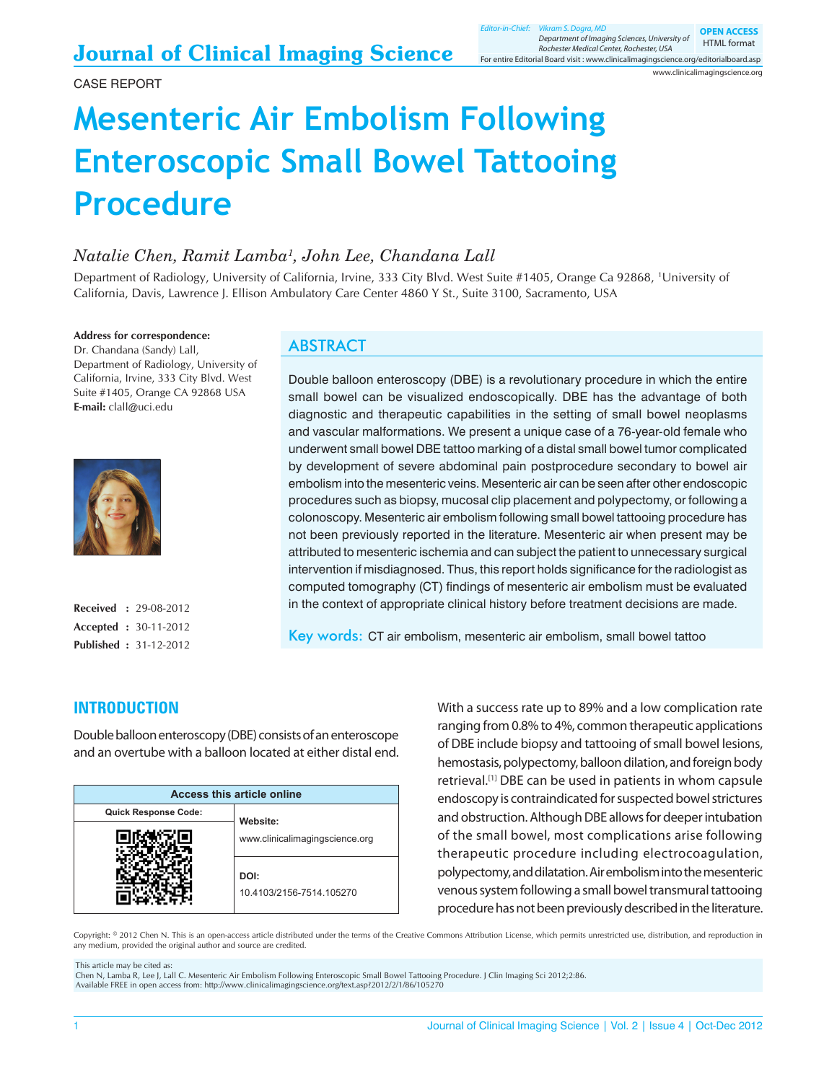www.clinicalimagingscience.org

# **Mesenteric Air Embolism Following Enteroscopic Small Bowel Tattooing Procedure**

## *Natalie Chen, Ramit Lamba1 , John Lee, Chandana Lall*

Department of Radiology, University of California, Irvine, 333 City Blvd. West Suite #1405, Orange Ca 92868, 1 University of California, Davis, Lawrence J. Ellison Ambulatory Care Center 4860 Y St., Suite 3100, Sacramento, USA

**Address for correspondence:**

Dr. Chandana (Sandy) Lall, Department of Radiology, University of California, Irvine, 333 City Blvd. West Suite #1405, Orange CA 92868 USA **E‑mail:** clall@uci.edu



**Received :** 29‑08‑2012 **Accepted :** 30-11-2012 **Published :** 31-12-2012

## **ABSTRACT**

Double balloon enteroscopy (DBE) is a revolutionary procedure in which the entire small bowel can be visualized endoscopically. DBE has the advantage of both diagnostic and therapeutic capabilities in the setting of small bowel neoplasms and vascular malformations. We present a unique case of a 76-year-old female who underwent small bowel DBE tattoo marking of a distal small bowel tumor complicated by development of severe abdominal pain postprocedure secondary to bowel air embolism into the mesenteric veins. Mesenteric air can be seen after other endoscopic procedures such as biopsy, mucosal clip placement and polypectomy, or following a colonoscopy. Mesenteric air embolism following small bowel tattooing procedure has not been previously reported in the literature. Mesenteric air when present may be attributed to mesenteric ischemia and can subject the patient to unnecessary surgical intervention if misdiagnosed. Thus, this report holds significance for the radiologist as computed tomography (CT) findings of mesenteric air embolism must be evaluated in the context of appropriate clinical history before treatment decisions are made.

Key words: CT air embolism, mesenteric air embolism, small bowel tattoo

## **INTRODUCTION**

Double balloon enteroscopy (DBE) consists of an enteroscope and an overtube with a balloon located at either distal end.

| Access this article online |                                  |
|----------------------------|----------------------------------|
| Quick Response Code:       | Website:                         |
|                            | www.clinicalimagingscience.org   |
|                            | DOI:<br>10.4103/2156-7514.105270 |

With a success rate up to 89% and a low complication rate ranging from 0.8% to 4%, common therapeutic applications of DBE include biopsy and tattooing of small bowel lesions, hemostasis, polypectomy, balloon dilation, and foreign body retrieval.<sup>[1]</sup> DBE can be used in patients in whom capsule endoscopy is contraindicated for suspected bowel strictures and obstruction. Although DBE allows for deeper intubation of the small bowel, most complications arise following therapeutic procedure including electrocoagulation, polypectomy, and dilatation. Air embolism into the mesenteric venous system following a small bowel transmural tattooing procedure has not been previously described in the literature.

Copyright: © 2012 Chen N. This is an open-access article distributed under the terms of the Creative Commons Attribution License, which permits unrestricted use, distribution, and reproduction in any medium, provided the original author and source are credited.

This article may be cited as:

Chen N, Lamba R, Lee J, Lall C. Mesenteric Air Embolism Following Enteroscopic Small Bowel Tattooing Procedure. J Clin Imaging Sci 2012;2:86. Available FREE in open access from: http://www.clinicalimagingscience.org/text.asp?2012/2/1/86/105270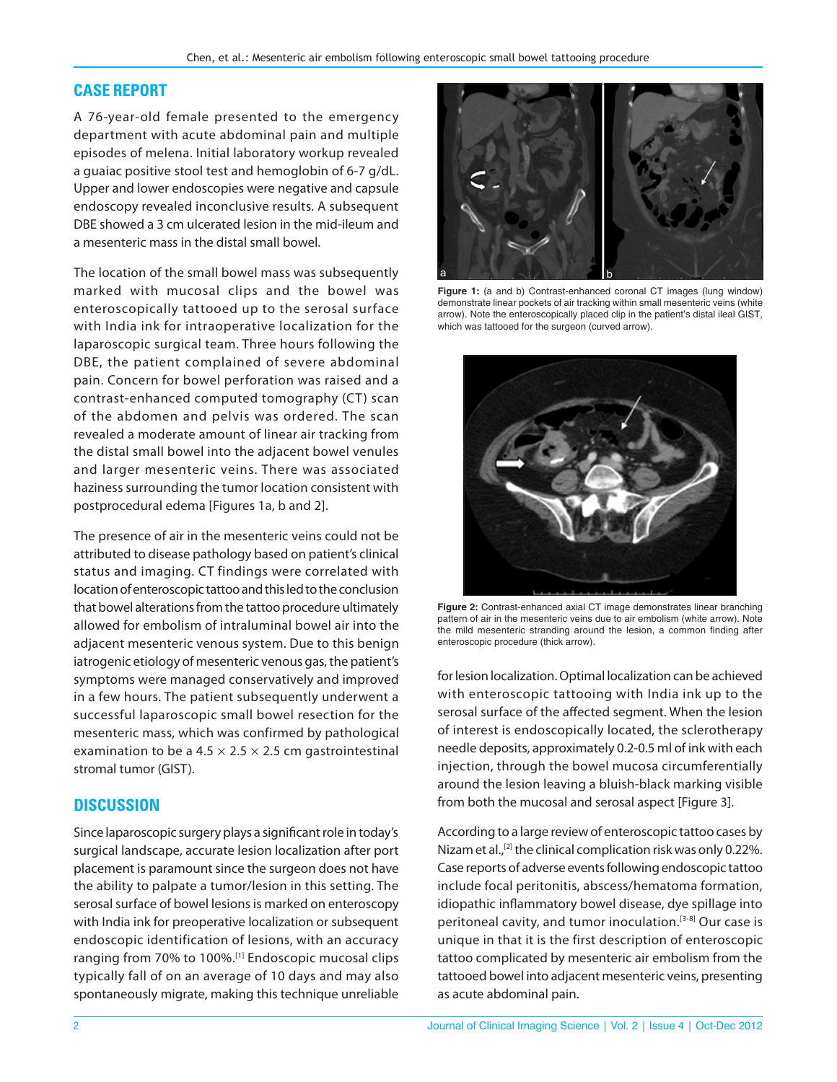#### **CASE REPORT**

A 76‑year‑old female presented to the emergency department with acute abdominal pain and multiple episodes of melena. Initial laboratory workup revealed a guaiac positive stool test and hemoglobin of 6-7 g/dL. Upper and lower endoscopies were negative and capsule endoscopy revealed inconclusive results. A subsequent DBE showed a 3 cm ulcerated lesion in the mid-ileum and a mesenteric mass in the distal small bowel.

The location of the small bowel mass was subsequently marked with mucosal clips and the bowel was enteroscopically tattooed up to the serosal surface with India ink for intraoperative localization for the laparoscopic surgical team. Three hours following the DBE, the patient complained of severe abdominal pain. Concern for bowel perforation was raised and a contrast‑enhanced computed tomography (CT) scan of the abdomen and pelvis was ordered. The scan revealed a moderate amount of linear air tracking from the distal small bowel into the adjacent bowel venules and larger mesenteric veins. There was associated haziness surrounding the tumor location consistent with postprocedural edema [Figures 1a, b and 2].

The presence of air in the mesenteric veins could not be attributed to disease pathology based on patient's clinical status and imaging. CT findings were correlated with location of enteroscopic tattoo and this led to the conclusion that bowel alterations from the tattoo procedure ultimately allowed for embolism of intraluminal bowel air into the adjacent mesenteric venous system. Due to this benign iatrogenic etiology of mesenteric venous gas, the patient's symptoms were managed conservatively and improved in a few hours. The patient subsequently underwent a successful laparoscopic small bowel resection for the mesenteric mass, which was confirmed by pathological examination to be a 4.5  $\times$  2.5  $\times$  2.5 cm gastrointestinal stromal tumor (GIST).

## **DISCUSSION**

Since laparoscopic surgery plays a significant role in today's surgical landscape, accurate lesion localization after port placement is paramount since the surgeon does not have the ability to palpate a tumor/lesion in this setting. The serosal surface of bowel lesions is marked on enteroscopy with India ink for preoperative localization or subsequent endoscopic identification of lesions, with an accuracy ranging from 70% to 100%.[1] Endoscopic mucosal clips typically fall of on an average of 10 days and may also spontaneously migrate, making this technique unreliable



**Figure 1:** (a and b) Contrast-enhanced coronal CT images (lung window) demonstrate linear pockets of air tracking within small mesenteric veins (white arrow). Note the enteroscopically placed clip in the patient's distal ileal GIST, which was tattooed for the surgeon (curved arrow).



**Figure 2:** Contrast-enhanced axial CT image demonstrates linear branching pattern of air in the mesenteric veins due to air embolism (white arrow). Note the mild mesenteric stranding around the lesion, a common finding after enteroscopic procedure (thick arrow).

for lesion localization. Optimal localization can be achieved with enteroscopic tattooing with India ink up to the serosal surface of the affected segment. When the lesion of interest is endoscopically located, the sclerotherapy needle deposits, approximately 0.2-0.5 ml of ink with each injection, through the bowel mucosa circumferentially around the lesion leaving a bluish‑black marking visible from both the mucosal and serosal aspect [Figure 3].

According to a large review of enteroscopic tattoo cases by Nizam et al.,<sup>[2]</sup> the clinical complication risk was only 0.22%. Case reports of adverse events following endoscopic tattoo include focal peritonitis, abscess/hematoma formation, idiopathic inflammatory bowel disease, dye spillage into peritoneal cavity, and tumor inoculation.<sup>[3-8]</sup> Our case is unique in that it is the first description of enteroscopic tattoo complicated by mesenteric air embolism from the tattooed bowel into adjacent mesenteric veins, presenting as acute abdominal pain.